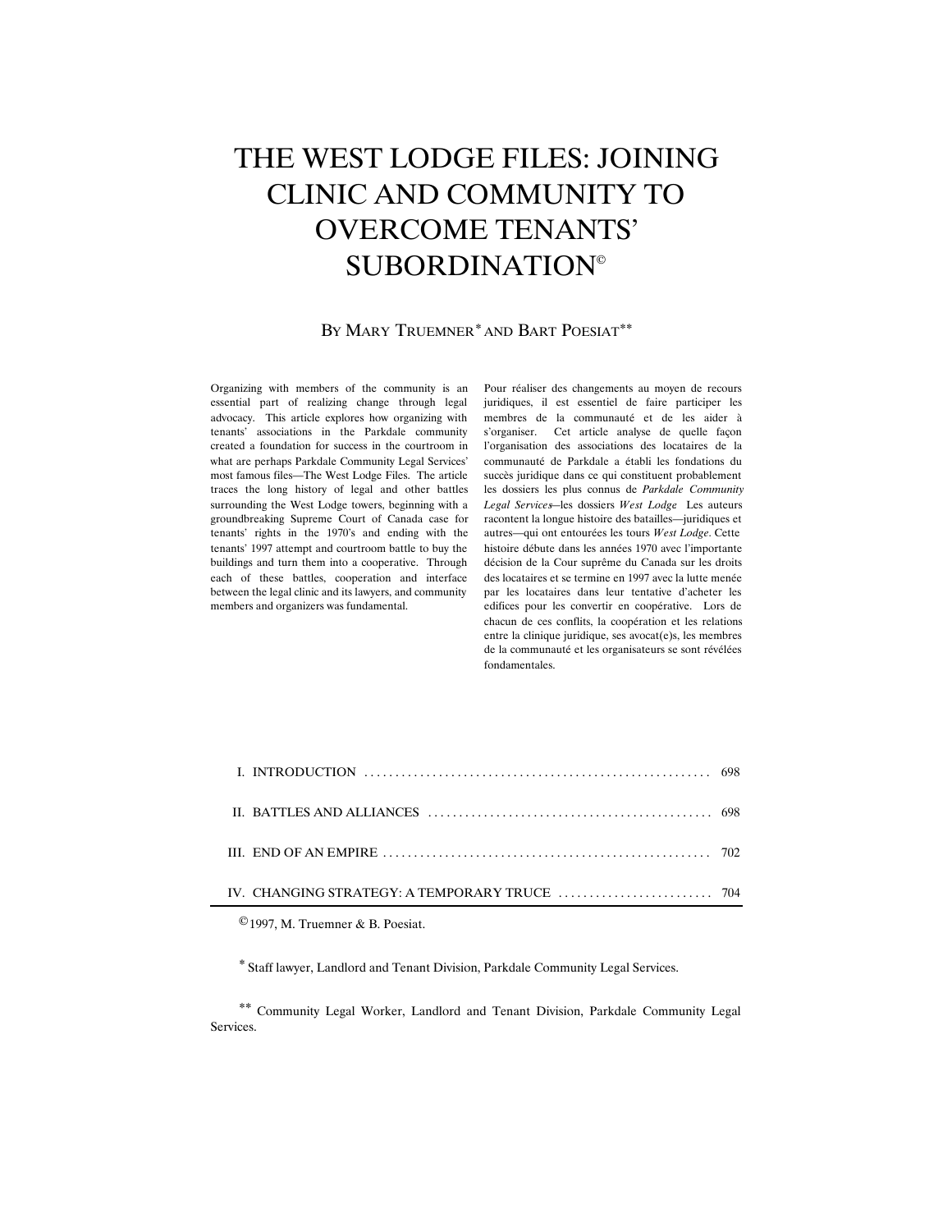# THE WEST LODGE FILES: JOINING CLINIC AND COMMUNITY TO OVERCOME TENANTS' SUBORDINATION*©*

#### BY MARY TRUEMNER*\** AND BART POESIAT*\*\**

Organizing with members of the community is an essential part of realizing change through legal advocacy. This article explores how organizing with tenants' associations in the Parkdale community created a foundation for success in the courtroom in what are perhaps Parkdale Community Legal Services' most famous files—The West Lodge Files. The article traces the long history of legal and other battles surrounding the West Lodge towers, beginning with a groundbreaking Supreme Court of Canada case for tenants' rights in the 1970's and ending with the tenants' 1997 attempt and courtroom battle to buy the buildings and turn them into a cooperative. Through each of these battles, cooperation and interface between the legal clinic and its lawyers, and community members and organizers was fundamental.

Pour réaliser des changements au moyen de recours juridiques, il est essentiel de faire participer les membres de la communauté et de les aider à s'organiser. Cet article analyse de quelle façon l'organisation des associations des locataires de la communauté de Parkdale a établi les fondations du succès juridique dans ce qui constituent probablement les dossiers les plus connus de *Parkdale Community Legal Services*—les dossiers *West Lodge*. Les auteurs racontent la longue histoire des batailles—juridiques et autres—qui ont entourées les tours *West Lodge.* Cette histoire débute dans les années 1970 avec l'importante décision de la Cour suprême du Canada sur les droits des locataires et se termine en 1997 avec la lutte menée par les locataires dans leur tentative d'acheter les edifices pour les convertir en coopérative. Lors de chacun de ces conflits, la coopération et les relations entre la clinique juridique, ses avocat(e)s, les membres de la communauté et les organisateurs se sont révélées fondamentales.

| III. END OF AN EMPIRE $\ldots$ $\ldots$ $\ldots$ $\ldots$ $\ldots$ $\ldots$ $\ldots$ $\ldots$ $\ldots$ $\ldots$ $\ldots$ $\ldots$ $\ldots$ 702 |  |
|------------------------------------------------------------------------------------------------------------------------------------------------|--|
|                                                                                                                                                |  |
|                                                                                                                                                |  |

*©*1997, M. Truemner & B. Poesiat.

*\** Staff lawyer, Landlord and Tenant Division, Parkdale Community Legal Services.

*\*\** Community Legal Worker, Landlord and Tenant Division, Parkdale Community Legal Services.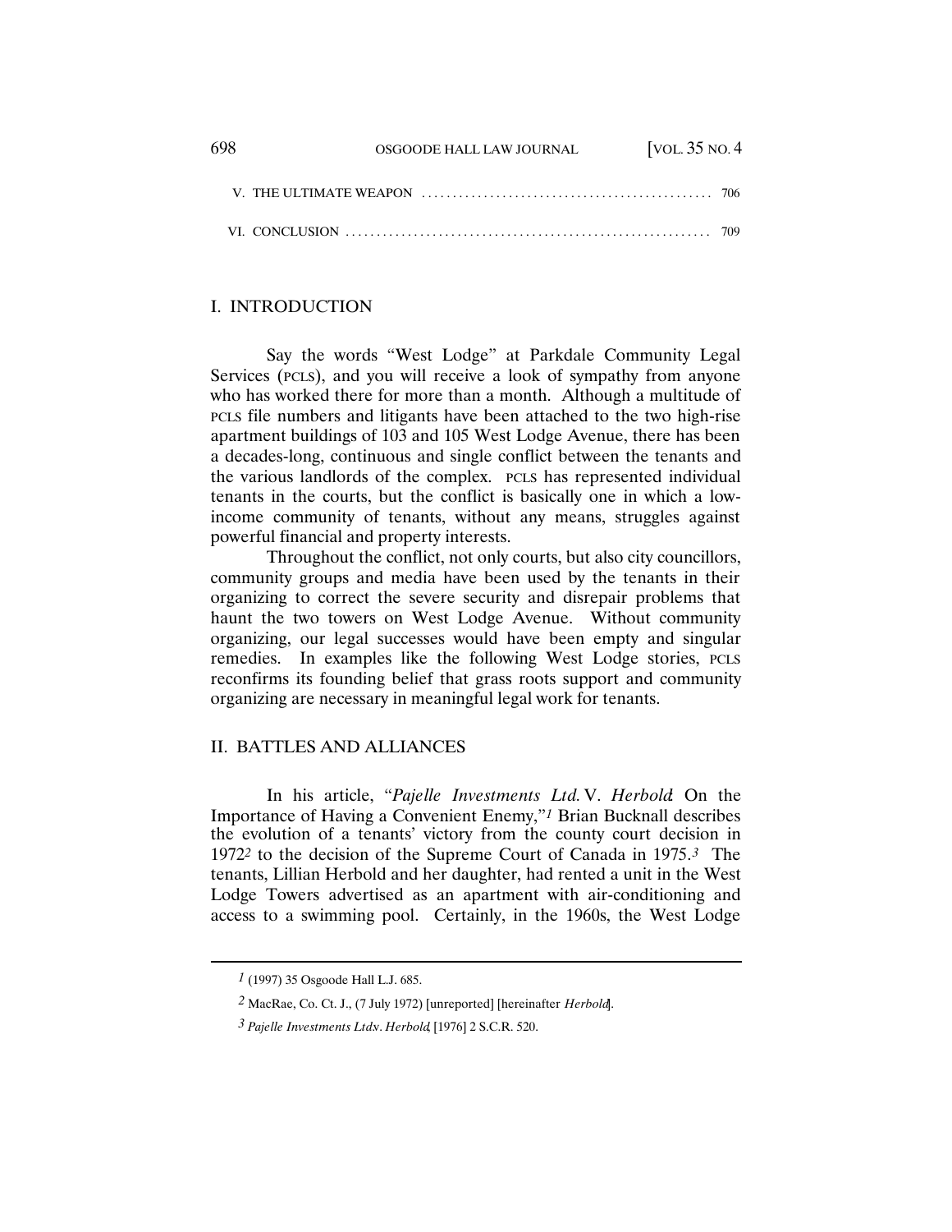| -698 | OSGOODE HALL LAW JOURNAL | [VOL. $35$ NO. $4$ |  |
|------|--------------------------|--------------------|--|
|      |                          |                    |  |
|      |                          |                    |  |

### I. INTRODUCTION

Say the words "West Lodge" at Parkdale Community Legal Services (PCLS), and you will receive a look of sympathy from anyone who has worked there for more than a month. Although a multitude of PCLS file numbers and litigants have been attached to the two high-rise apartment buildings of 103 and 105 West Lodge Avenue, there has been a decades-long, continuous and single conflict between the tenants and the various landlords of the complex. PCLS has represented individual tenants in the courts, but the conflict is basically one in which a lowincome community of tenants, without any means, struggles against powerful financial and property interests.

Throughout the conflict, not only courts, but also city councillors, community groups and media have been used by the tenants in their organizing to correct the severe security and disrepair problems that haunt the two towers on West Lodge Avenue. Without community organizing, our legal successes would have been empty and singular remedies. In examples like the following West Lodge stories, PCLS reconfirms its founding belief that grass roots support and community organizing are necessary in meaningful legal work for tenants.

## II. BATTLES AND ALLIANCES

In his article, "*Pajelle Investments Ltd.* V. *Herbold*: On the Importance of Having a Convenient Enemy,"*1* Brian Bucknall describes the evolution of a tenants' victory from the county court decision in 1972*2* to the decision of the Supreme Court of Canada in 1975.*3* The tenants, Lillian Herbold and her daughter, had rented a unit in the West Lodge Towers advertised as an apartment with air-conditioning and access to a swimming pool. Certainly, in the 1960s, the West Lodge

*<sup>1</sup>* (1997) 35 Osgoode Hall L.J. 685.

*<sup>2</sup>* MacRae, Co. Ct. J., (7 July 1972) [unreported] [hereinafter *Herbold*].

*<sup>3</sup> Pajelle Investments Ltd.* v. *Herbold*, [1976] 2 S.C.R. 520.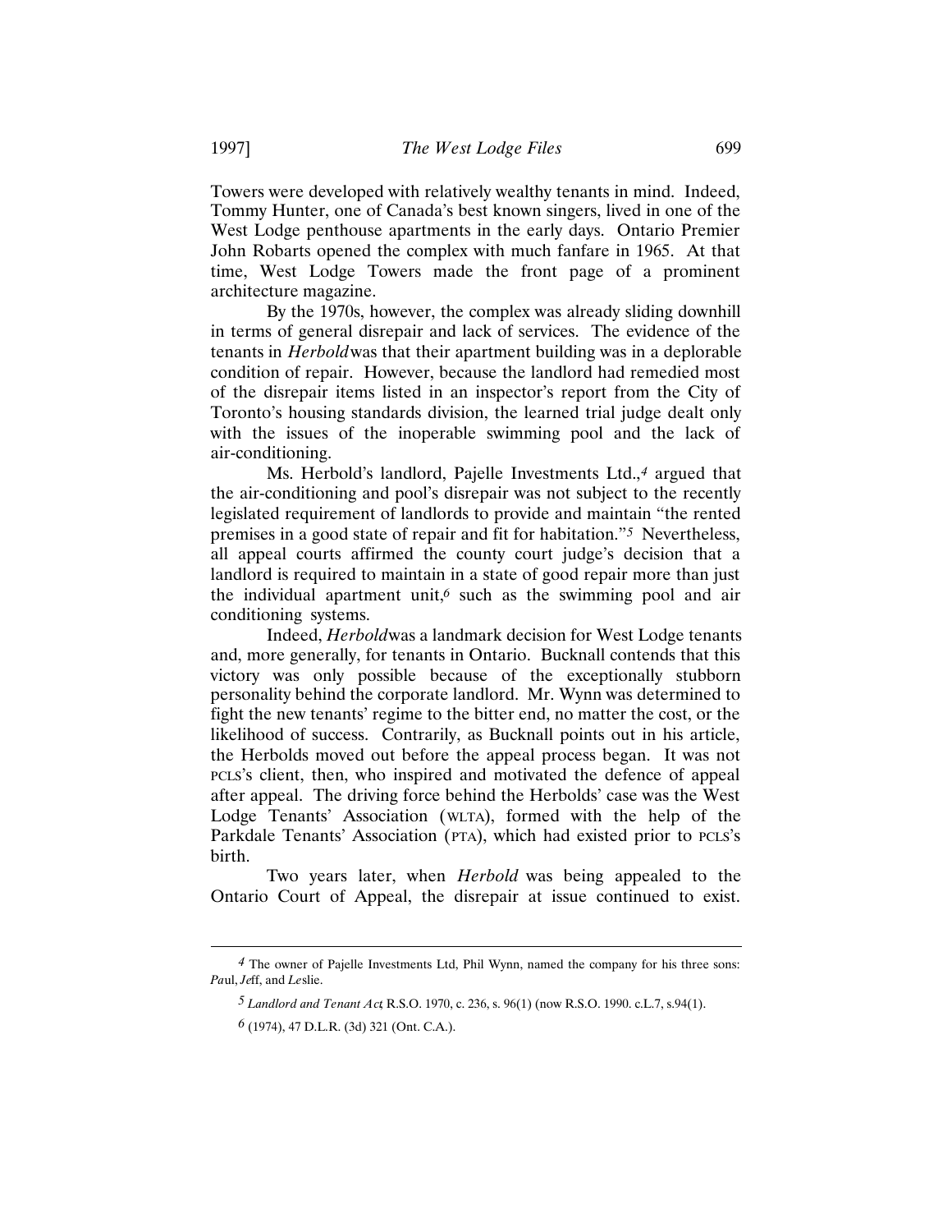Towers were developed with relatively wealthy tenants in mind. Indeed, Tommy Hunter, one of Canada's best known singers, lived in one of the West Lodge penthouse apartments in the early days. Ontario Premier John Robarts opened the complex with much fanfare in 1965. At that time, West Lodge Towers made the front page of a prominent architecture magazine.

By the 1970s, however, the complex was already sliding downhill in terms of general disrepair and lack of services. The evidence of the tenants in *Herbold* was that their apartment building was in a deplorable condition of repair. However, because the landlord had remedied most of the disrepair items listed in an inspector's report from the City of Toronto's housing standards division, the learned trial judge dealt only with the issues of the inoperable swimming pool and the lack of air-conditioning.

Ms. Herbold's landlord, Pajelle Investments Ltd.,*4* argued that the air-conditioning and pool's disrepair was not subject to the recently legislated requirement of landlords to provide and maintain "the rented premises in a good state of repair and fit for habitation."*5* Nevertheless, all appeal courts affirmed the county court judge's decision that a landlord is required to maintain in a state of good repair more than just the individual apartment unit,*6* such as the swimming pool and air conditioning systems.

Indeed, *Herbold* was a landmark decision for West Lodge tenants and, more generally, for tenants in Ontario. Bucknall contends that this victory was only possible because of the exceptionally stubborn personality behind the corporate landlord. Mr. Wynn was determined to fight the new tenants' regime to the bitter end, no matter the cost, or the likelihood of success. Contrarily, as Bucknall points out in his article, the Herbolds moved out before the appeal process began. It was not PCLS's client, then, who inspired and motivated the defence of appeal after appeal. The driving force behind the Herbolds' case was the West Lodge Tenants' Association (WLTA), formed with the help of the Parkdale Tenants' Association (PTA), which had existed prior to PCLS's birth.

Two years later, when *Herbold* was being appealed to the Ontario Court of Appeal, the disrepair at issue continued to exist.

*<sup>4</sup>* The owner of Pajelle Investments Ltd, Phil Wynn, named the company for his three sons: *Pa*ul, *Je*ff, and *Le*slie.

*<sup>5</sup> Landlord and Tenant Act*, R.S.O. 1970, c. 236, s. 96(1) (now R.S.O. 1990. c.L.7, s.94(1).

*<sup>6</sup>* (1974), 47 D.L.R. (3d) 321 (Ont. C.A.).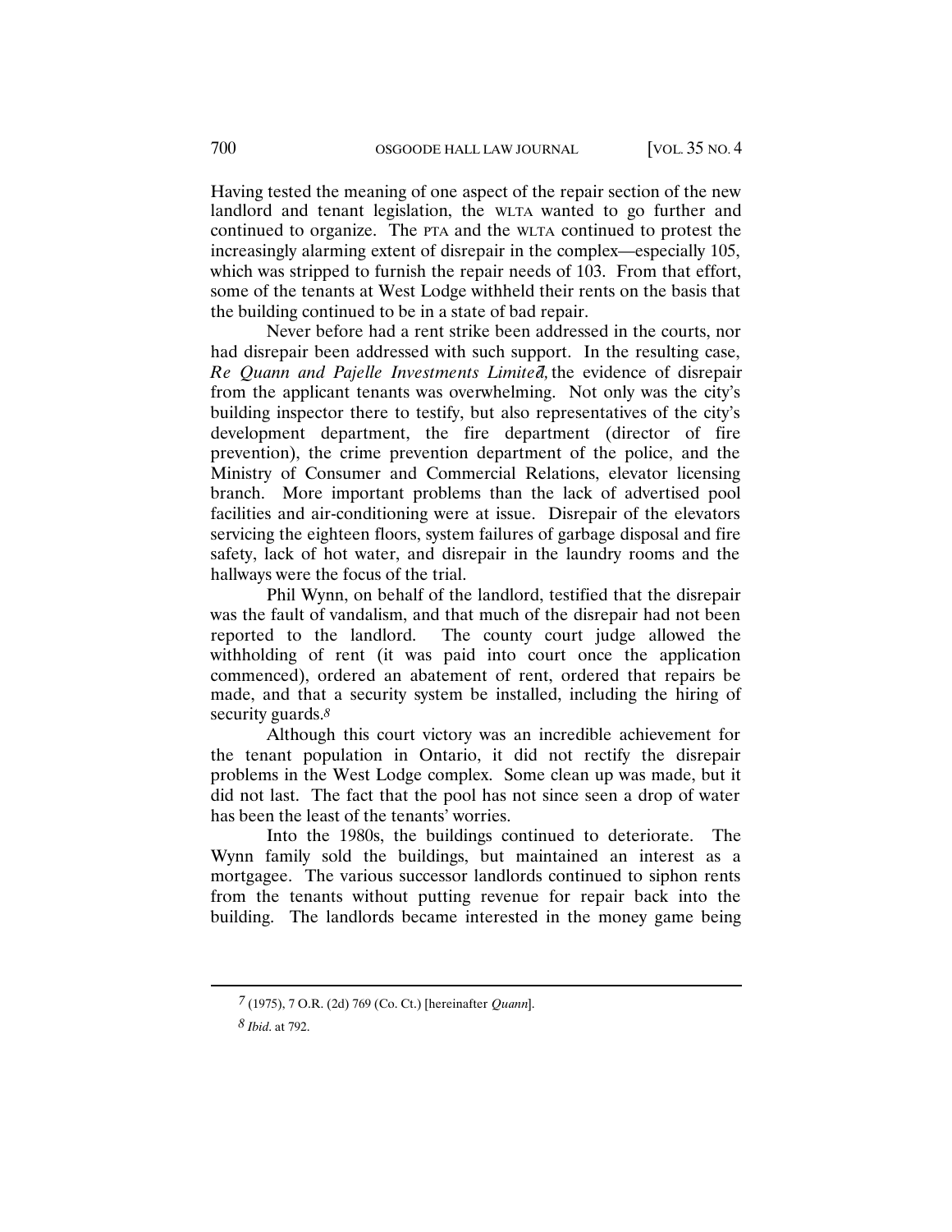Having tested the meaning of one aspect of the repair section of the new landlord and tenant legislation, the WLTA wanted to go further and continued to organize. The PTA and the WLTA continued to protest the increasingly alarming extent of disrepair in the complex—especially 105, which was stripped to furnish the repair needs of 103. From that effort, some of the tenants at West Lodge withheld their rents on the basis that the building continued to be in a state of bad repair.

Never before had a rent strike been addressed in the courts, nor had disrepair been addressed with such support. In the resulting case, *Re Quann and Pajelle Investments Limited*, the evidence of disrepair from the applicant tenants was overwhelming. Not only was the city's building inspector there to testify, but also representatives of the city's development department, the fire department (director of fire prevention), the crime prevention department of the police, and the Ministry of Consumer and Commercial Relations, elevator licensing branch. More important problems than the lack of advertised pool facilities and air-conditioning were at issue. Disrepair of the elevators servicing the eighteen floors, system failures of garbage disposal and fire safety, lack of hot water, and disrepair in the laundry rooms and the hallways were the focus of the trial.

Phil Wynn, on behalf of the landlord, testified that the disrepair was the fault of vandalism, and that much of the disrepair had not been reported to the landlord. The county court judge allowed the withholding of rent (it was paid into court once the application commenced), ordered an abatement of rent, ordered that repairs be made, and that a security system be installed, including the hiring of security guards.*8*

Although this court victory was an incredible achievement for the tenant population in Ontario, it did not rectify the disrepair problems in the West Lodge complex. Some clean up was made, but it did not last. The fact that the pool has not since seen a drop of water has been the least of the tenants' worries.

Into the 1980s, the buildings continued to deteriorate. The Wynn family sold the buildings, but maintained an interest as a mortgagee. The various successor landlords continued to siphon rents from the tenants without putting revenue for repair back into the building. The landlords became interested in the money game being

*<sup>7</sup>* (1975), 7 O.R. (2d) 769 (Co. Ct.) [hereinafter *Quann*].

*<sup>8</sup> Ibid*. at 792.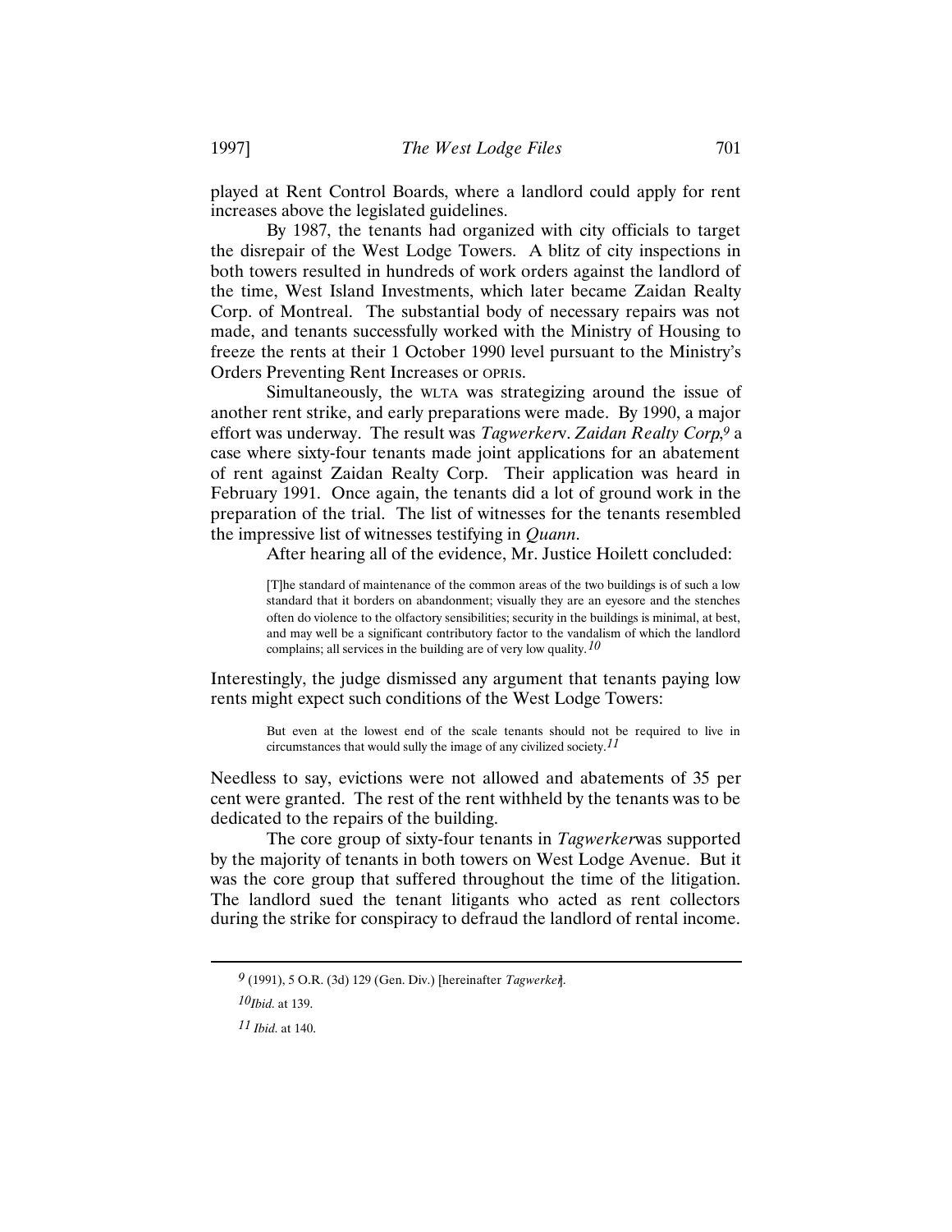played at Rent Control Boards, where a landlord could apply for rent increases above the legislated guidelines.

By 1987, the tenants had organized with city officials to target the disrepair of the West Lodge Towers. A blitz of city inspections in both towers resulted in hundreds of work orders against the landlord of the time, West Island Investments, which later became Zaidan Realty Corp. of Montreal. The substantial body of necessary repairs was not made, and tenants successfully worked with the Ministry of Housing to freeze the rents at their 1 October 1990 level pursuant to the Ministry's Orders Preventing Rent Increases or OPRIs.

Simultaneously, the WLTA was strategizing around the issue of another rent strike, and early preparations were made. By 1990, a major effort was underway. The result was *Tagwerkerv*. Zaidan Realty Corp.<sup>9</sup> a case where sixty-four tenants made joint applications for an abatement of rent against Zaidan Realty Corp. Their application was heard in February 1991. Once again, the tenants did a lot of ground work in the preparation of the trial. The list of witnesses for the tenants resembled the impressive list of witnesses testifying in *Quann*.

After hearing all of the evidence, Mr. Justice Hoilett concluded:

[T]he standard of maintenance of the common areas of the two buildings is of such a low standard that it borders on abandonment; visually they are an eyesore and the stenches often do violence to the olfactory sensibilities; security in the buildings is minimal, at best, and may well be a significant contributory factor to the vandalism of which the landlord complains; all services in the building are of very low quality.*10*

Interestingly, the judge dismissed any argument that tenants paying low rents might expect such conditions of the West Lodge Towers:

> But even at the lowest end of the scale tenants should not be required to live in circumstances that would sully the image of any civilized society.*11*

Needless to say, evictions were not allowed and abatements of 35 per cent were granted. The rest of the rent withheld by the tenants was to be dedicated to the repairs of the building.

The core group of sixty-four tenants in *Tagwerker* was supported by the majority of tenants in both towers on West Lodge Avenue. But it was the core group that suffered throughout the time of the litigation. The landlord sued the tenant litigants who acted as rent collectors during the strike for conspiracy to defraud the landlord of rental income.

*<sup>9</sup>* (1991), 5 O.R. (3d) 129 (Gen. Div.) [hereinafter *Tagwerker*].

*<sup>10</sup>Ibid.* at 139.

*<sup>11</sup> Ibid.* at 140.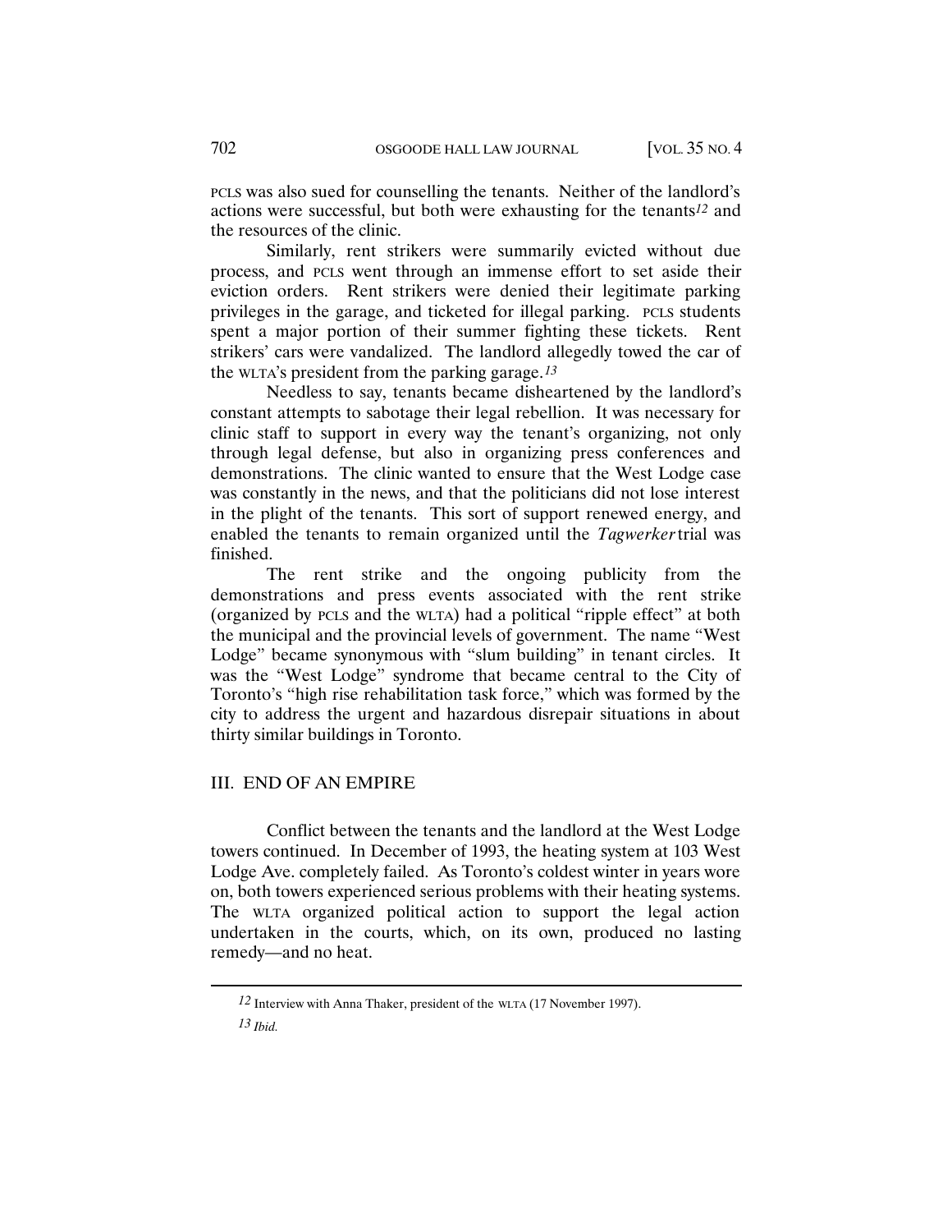PCLS was also sued for counselling the tenants. Neither of the landlord's actions were successful, but both were exhausting for the tenants*12* and the resources of the clinic.

Similarly, rent strikers were summarily evicted without due process, and PCLS went through an immense effort to set aside their eviction orders. Rent strikers were denied their legitimate parking privileges in the garage, and ticketed for illegal parking. PCLS students spent a major portion of their summer fighting these tickets. Rent strikers' cars were vandalized. The landlord allegedly towed the car of the WLTA's president from the parking garage.*13*

Needless to say, tenants became disheartened by the landlord's constant attempts to sabotage their legal rebellion. It was necessary for clinic staff to support in every way the tenant's organizing, not only through legal defense, but also in organizing press conferences and demonstrations. The clinic wanted to ensure that the West Lodge case was constantly in the news, and that the politicians did not lose interest in the plight of the tenants. This sort of support renewed energy, and enabled the tenants to remain organized until the *Tagwerker* trial was finished.

The rent strike and the ongoing publicity from the demonstrations and press events associated with the rent strike (organized by PCLS and the WLTA) had a political "ripple effect" at both the municipal and the provincial levels of government. The name "West Lodge" became synonymous with "slum building" in tenant circles. It was the "West Lodge" syndrome that became central to the City of Toronto's "high rise rehabilitation task force," which was formed by the city to address the urgent and hazardous disrepair situations in about thirty similar buildings in Toronto.

### III. END OF AN EMPIRE

Conflict between the tenants and the landlord at the West Lodge towers continued. In December of 1993, the heating system at 103 West Lodge Ave. completely failed. As Toronto's coldest winter in years wore on, both towers experienced serious problems with their heating systems. The WLTA organized political action to support the legal action undertaken in the courts, which, on its own, produced no lasting remedy—and no heat.

*<sup>12</sup>* Interview with Anna Thaker, president of the WLTA (17 November 1997).

*<sup>13</sup> Ibid.*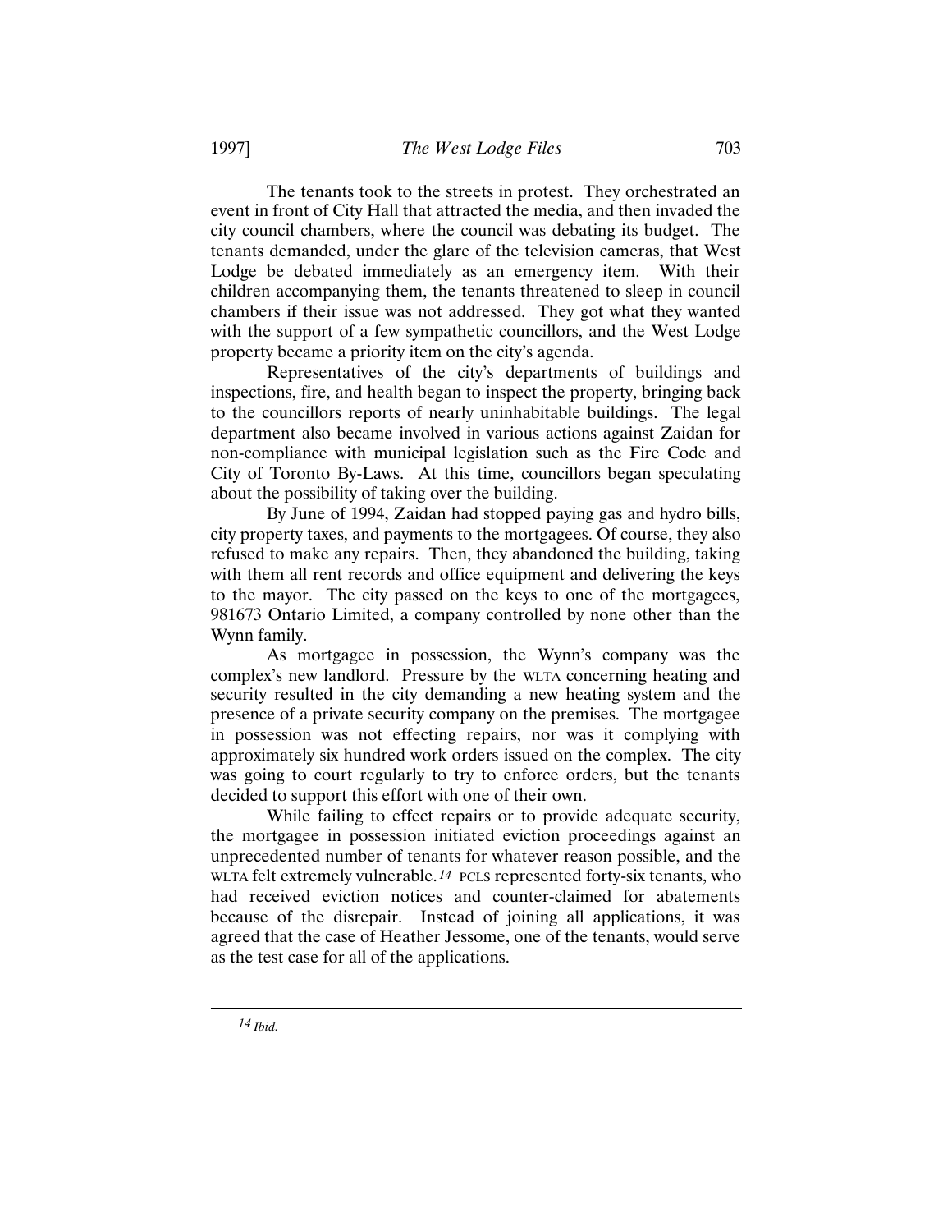The tenants took to the streets in protest. They orchestrated an event in front of City Hall that attracted the media, and then invaded the city council chambers, where the council was debating its budget. The tenants demanded, under the glare of the television cameras, that West Lodge be debated immediately as an emergency item. With their children accompanying them, the tenants threatened to sleep in council chambers if their issue was not addressed. They got what they wanted with the support of a few sympathetic councillors, and the West Lodge property became a priority item on the city's agenda.

Representatives of the city's departments of buildings and inspections, fire, and health began to inspect the property, bringing back to the councillors reports of nearly uninhabitable buildings. The legal department also became involved in various actions against Zaidan for non-compliance with municipal legislation such as the Fire Code and City of Toronto By-Laws. At this time, councillors began speculating about the possibility of taking over the building.

By June of 1994, Zaidan had stopped paying gas and hydro bills, city property taxes, and payments to the mortgagees. Of course, they also refused to make any repairs. Then, they abandoned the building, taking with them all rent records and office equipment and delivering the keys to the mayor. The city passed on the keys to one of the mortgagees, 981673 Ontario Limited, a company controlled by none other than the Wynn family.

As mortgagee in possession, the Wynn's company was the complex's new landlord. Pressure by the WLTA concerning heating and security resulted in the city demanding a new heating system and the presence of a private security company on the premises. The mortgagee in possession was not effecting repairs, nor was it complying with approximately six hundred work orders issued on the complex. The city was going to court regularly to try to enforce orders, but the tenants decided to support this effort with one of their own.

While failing to effect repairs or to provide adequate security, the mortgagee in possession initiated eviction proceedings against an unprecedented number of tenants for whatever reason possible, and the WLTA felt extremely vulnerable. *14* PCLS represented forty-six tenants, who had received eviction notices and counter-claimed for abatements because of the disrepair. Instead of joining all applications, it was agreed that the case of Heather Jessome, one of the tenants, would serve as the test case for all of the applications.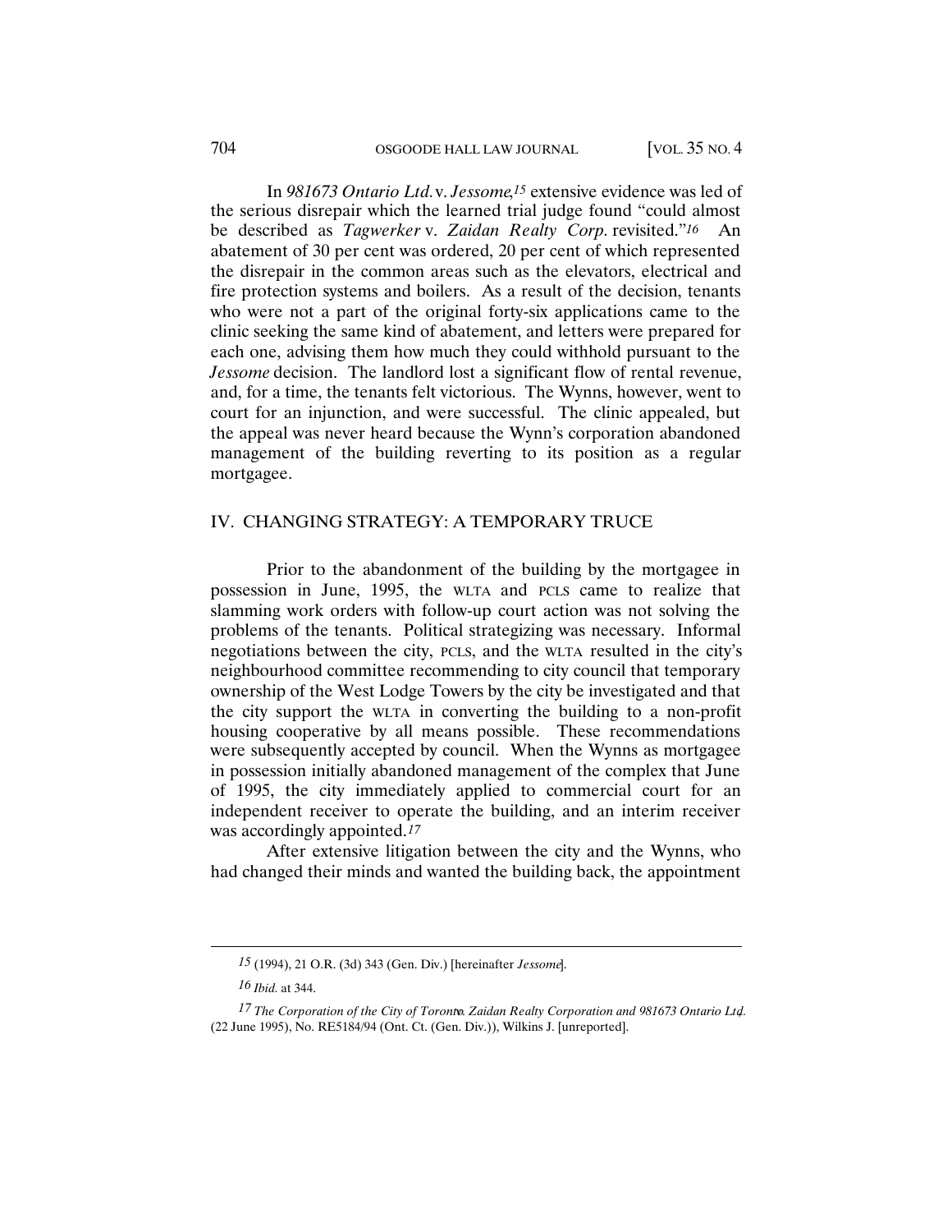In *981673 Ontario Ltd.* v. *Jessome*,*15* extensive evidence was led of the serious disrepair which the learned trial judge found "could almost be described as *Tagwerker* v. *Zaidan Realty Corp.* revisited."*16* An abatement of 30 per cent was ordered, 20 per cent of which represented the disrepair in the common areas such as the elevators, electrical and fire protection systems and boilers. As a result of the decision, tenants who were not a part of the original forty-six applications came to the clinic seeking the same kind of abatement, and letters were prepared for each one, advising them how much they could withhold pursuant to the *Jessome* decision. The landlord lost a significant flow of rental revenue, and, for a time, the tenants felt victorious. The Wynns, however, went to court for an injunction, and were successful. The clinic appealed, but the appeal was never heard because the Wynn's corporation abandoned management of the building reverting to its position as a regular mortgagee.

## IV. CHANGING STRATEGY: A TEMPORARY TRUCE

Prior to the abandonment of the building by the mortgagee in possession in June, 1995, the WLTA and PCLS came to realize that slamming work orders with follow-up court action was not solving the problems of the tenants. Political strategizing was necessary. Informal negotiations between the city, PCLS, and the WLTA resulted in the city's neighbourhood committee recommending to city council that temporary ownership of the West Lodge Towers by the city be investigated and that the city support the WLTA in converting the building to a non-profit housing cooperative by all means possible. These recommendations were subsequently accepted by council. When the Wynns as mortgagee in possession initially abandoned management of the complex that June of 1995, the city immediately applied to commercial court for an independent receiver to operate the building, and an interim receiver was accordingly appointed.*17*

After extensive litigation between the city and the Wynns, who had changed their minds and wanted the building back, the appointment

*<sup>15</sup>* (1994), 21 O.R. (3d) 343 (Gen. Div.) [hereinafter *Jessome*].

*<sup>16</sup> Ibid.* at 344.

<sup>17</sup> The Corporation of the City of Toronto. Zaidan Realty Corporation and 981673 Ontario Ltd. (22 June 1995), No. RE5184/94 (Ont. Ct. (Gen. Div.)), Wilkins J. [unreported].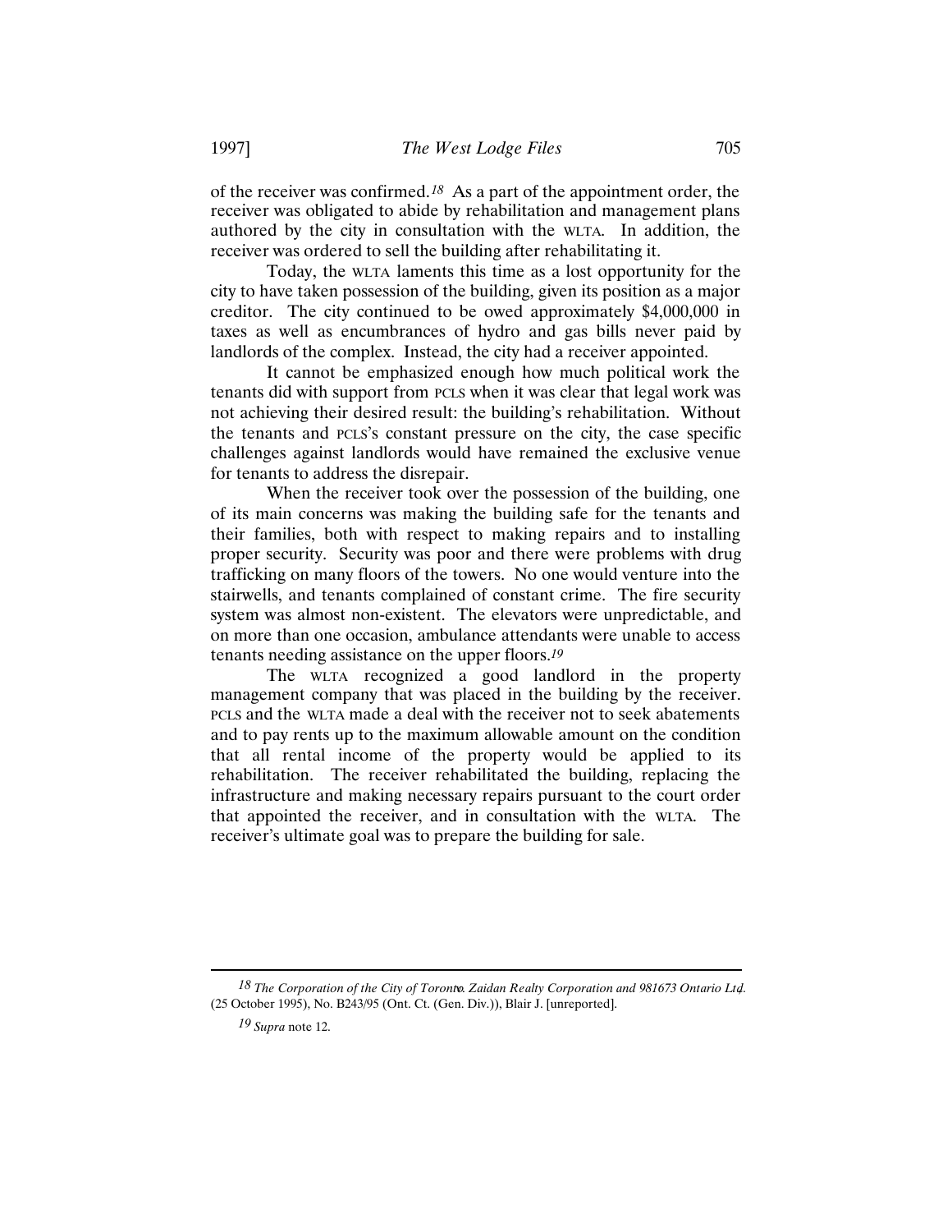of the receiver was confirmed.*18* As a part of the appointment order, the receiver was obligated to abide by rehabilitation and management plans authored by the city in consultation with the WLTA. In addition, the receiver was ordered to sell the building after rehabilitating it.

Today, the WLTA laments this time as a lost opportunity for the city to have taken possession of the building, given its position as a major creditor. The city continued to be owed approximately \$4,000,000 in taxes as well as encumbrances of hydro and gas bills never paid by landlords of the complex. Instead, the city had a receiver appointed.

It cannot be emphasized enough how much political work the tenants did with support from PCLS when it was clear that legal work was not achieving their desired result: the building's rehabilitation. Without the tenants and PCLS's constant pressure on the city, the case specific challenges against landlords would have remained the exclusive venue for tenants to address the disrepair.

When the receiver took over the possession of the building, one of its main concerns was making the building safe for the tenants and their families, both with respect to making repairs and to installing proper security. Security was poor and there were problems with drug trafficking on many floors of the towers. No one would venture into the stairwells, and tenants complained of constant crime. The fire security system was almost non-existent. The elevators were unpredictable, and on more than one occasion, ambulance attendants were unable to access tenants needing assistance on the upper floors.*19*

The WLTA recognized a good landlord in the property management company that was placed in the building by the receiver. PCLS and the WLTA made a deal with the receiver not to seek abatements and to pay rents up to the maximum allowable amount on the condition that all rental income of the property would be applied to its rehabilitation. The receiver rehabilitated the building, replacing the infrastructure and making necessary repairs pursuant to the court order that appointed the receiver, and in consultation with the WLTA. The receiver's ultimate goal was to prepare the building for sale.

18 The Corporation of the City of Toronto. Zaidan Realty Corporation and 981673 Ontario Ltd. (25 October 1995), No. B243/95 (Ont. Ct. (Gen. Div.)), Blair J. [unreported].

*<sup>19</sup> Supra* note 12.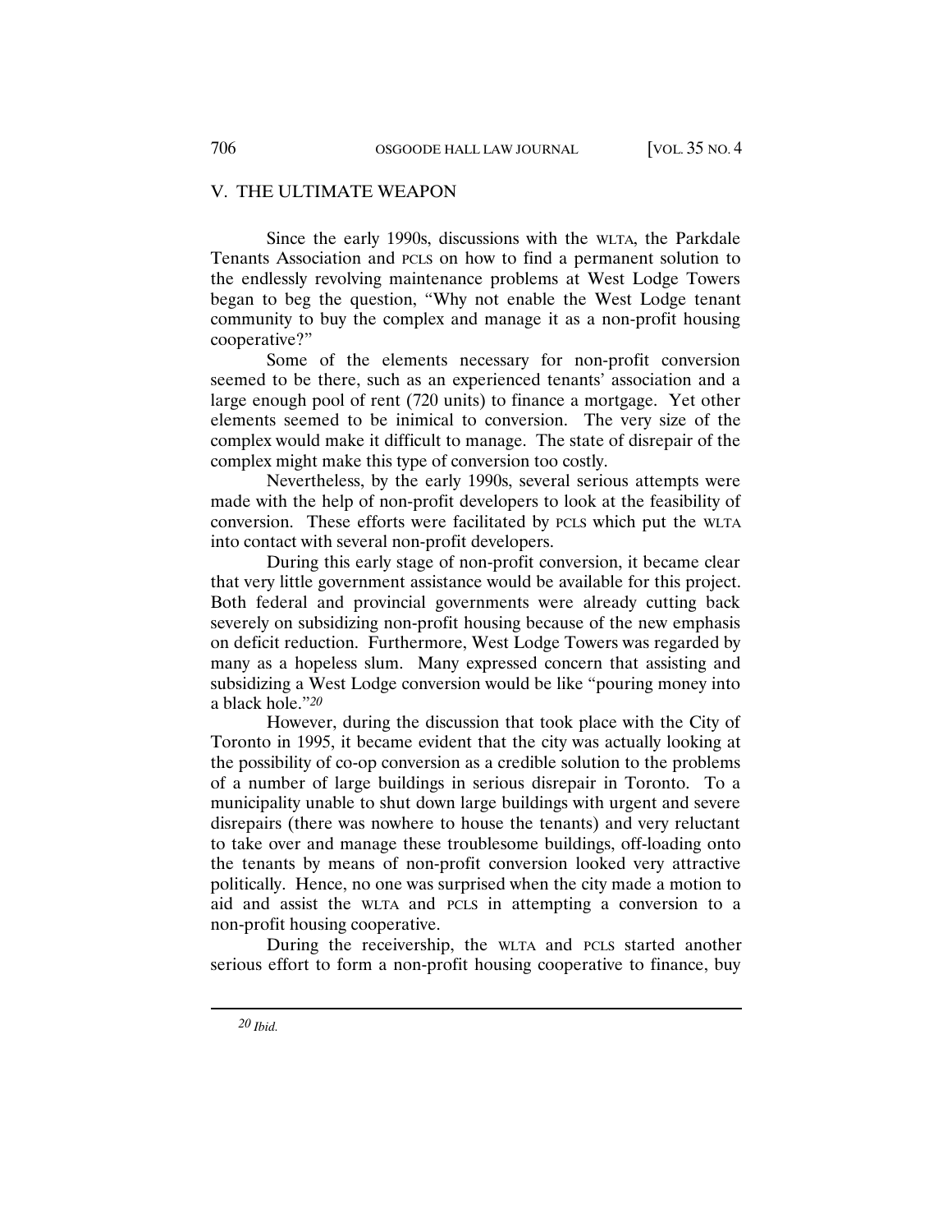#### V. THE ULTIMATE WEAPON

Since the early 1990s, discussions with the WLTA, the Parkdale Tenants Association and PCLS on how to find a permanent solution to the endlessly revolving maintenance problems at West Lodge Towers began to beg the question, "Why not enable the West Lodge tenant community to buy the complex and manage it as a non-profit housing cooperative?"

Some of the elements necessary for non-profit conversion seemed to be there, such as an experienced tenants' association and a large enough pool of rent (720 units) to finance a mortgage. Yet other elements seemed to be inimical to conversion. The very size of the complex would make it difficult to manage. The state of disrepair of the complex might make this type of conversion too costly.

Nevertheless, by the early 1990s, several serious attempts were made with the help of non-profit developers to look at the feasibility of conversion. These efforts were facilitated by PCLS which put the WLTA into contact with several non-profit developers.

During this early stage of non-profit conversion, it became clear that very little government assistance would be available for this project. Both federal and provincial governments were already cutting back severely on subsidizing non-profit housing because of the new emphasis on deficit reduction. Furthermore, West Lodge Towers was regarded by many as a hopeless slum. Many expressed concern that assisting and subsidizing a West Lodge conversion would be like "pouring money into a black hole."*20*

However, during the discussion that took place with the City of Toronto in 1995, it became evident that the city was actually looking at the possibility of co-op conversion as a credible solution to the problems of a number of large buildings in serious disrepair in Toronto. To a municipality unable to shut down large buildings with urgent and severe disrepairs (there was nowhere to house the tenants) and very reluctant to take over and manage these troublesome buildings, off-loading onto the tenants by means of non-profit conversion looked very attractive politically. Hence, no one was surprised when the city made a motion to aid and assist the WLTA and PCLS in attempting a conversion to a non-profit housing cooperative.

During the receivership, the WLTA and PCLS started another serious effort to form a non-profit housing cooperative to finance, buy

*20 Ibid.*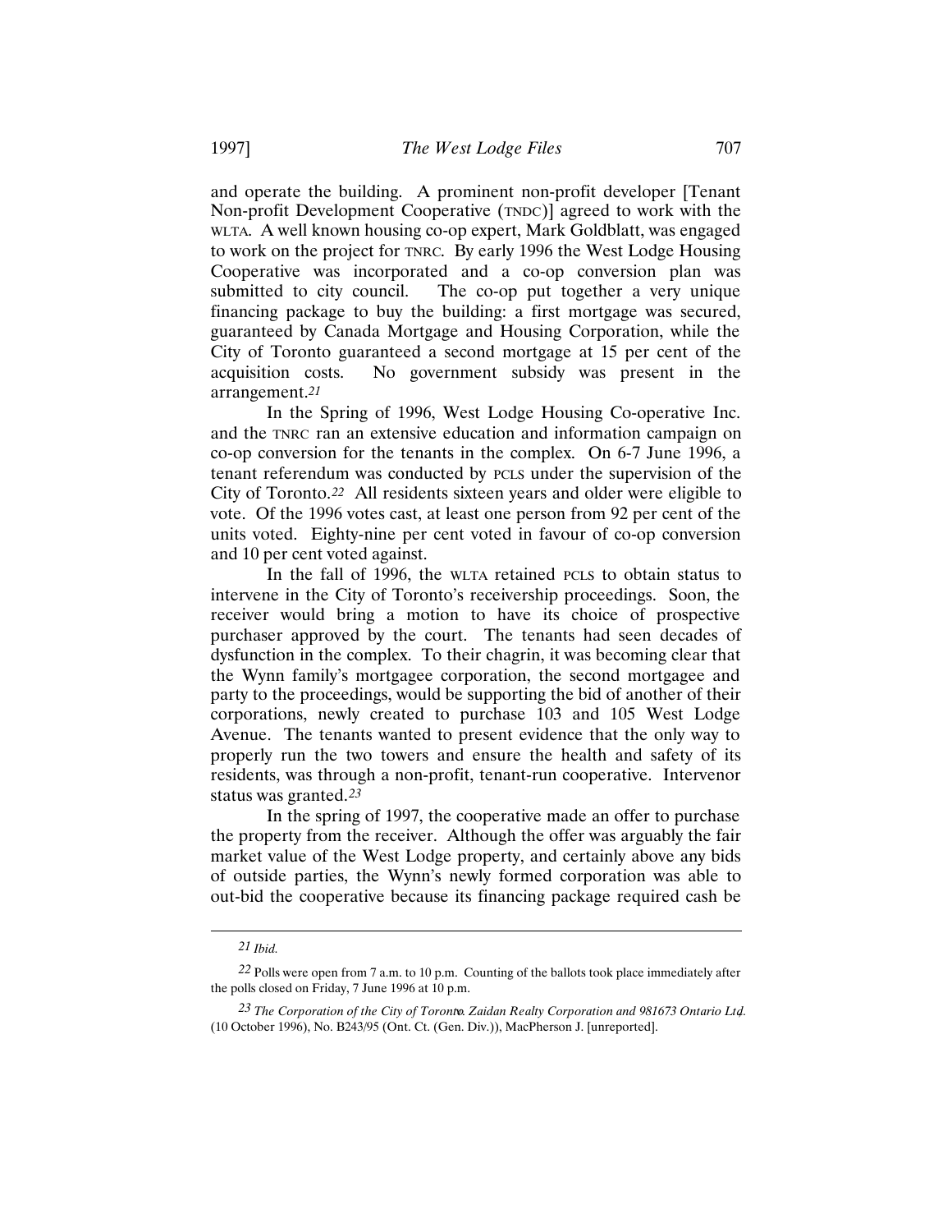and operate the building. A prominent non-profit developer [Tenant Non-profit Development Cooperative (TNDC)] agreed to work with the WLTA. A well known housing co-op expert, Mark Goldblatt, was engaged to work on the project for TNRC. By early 1996 the West Lodge Housing Cooperative was incorporated and a co-op conversion plan was submitted to city council. The co-op put together a very unique financing package to buy the building: a first mortgage was secured, guaranteed by Canada Mortgage and Housing Corporation, while the City of Toronto guaranteed a second mortgage at 15 per cent of the acquisition costs. No government subsidy was present in the arrangement.*21*

In the Spring of 1996, West Lodge Housing Co-operative Inc. and the TNRC ran an extensive education and information campaign on co-op conversion for the tenants in the complex. On 6-7 June 1996, a tenant referendum was conducted by PCLS under the supervision of the City of Toronto.*22* All residents sixteen years and older were eligible to vote. Of the 1996 votes cast, at least one person from 92 per cent of the units voted. Eighty-nine per cent voted in favour of co-op conversion and 10 per cent voted against.

In the fall of 1996, the WLTA retained PCLS to obtain status to intervene in the City of Toronto's receivership proceedings. Soon, the receiver would bring a motion to have its choice of prospective purchaser approved by the court. The tenants had seen decades of dysfunction in the complex. To their chagrin, it was becoming clear that the Wynn family's mortgagee corporation, the second mortgagee and party to the proceedings, would be supporting the bid of another of their corporations, newly created to purchase 103 and 105 West Lodge Avenue. The tenants wanted to present evidence that the only way to properly run the two towers and ensure the health and safety of its residents, was through a non-profit, tenant-run cooperative. Intervenor status was granted.*23*

In the spring of 1997, the cooperative made an offer to purchase the property from the receiver. Although the offer was arguably the fair market value of the West Lodge property, and certainly above any bids of outside parties, the Wynn's newly formed corporation was able to out-bid the cooperative because its financing package required cash be

*<sup>21</sup> Ibid.*

*<sup>22</sup>* Polls were open from 7 a.m. to 10 p.m. Counting of the ballots took place immediately after the polls closed on Friday, 7 June 1996 at 10 p.m.

<sup>23</sup> The Corporation of the City of Toronto. Zaidan Realty Corporation and 981673 Ontario Ltd. (10 October 1996), No. B243/95 (Ont. Ct. (Gen. Div.)), MacPherson J. [unreported].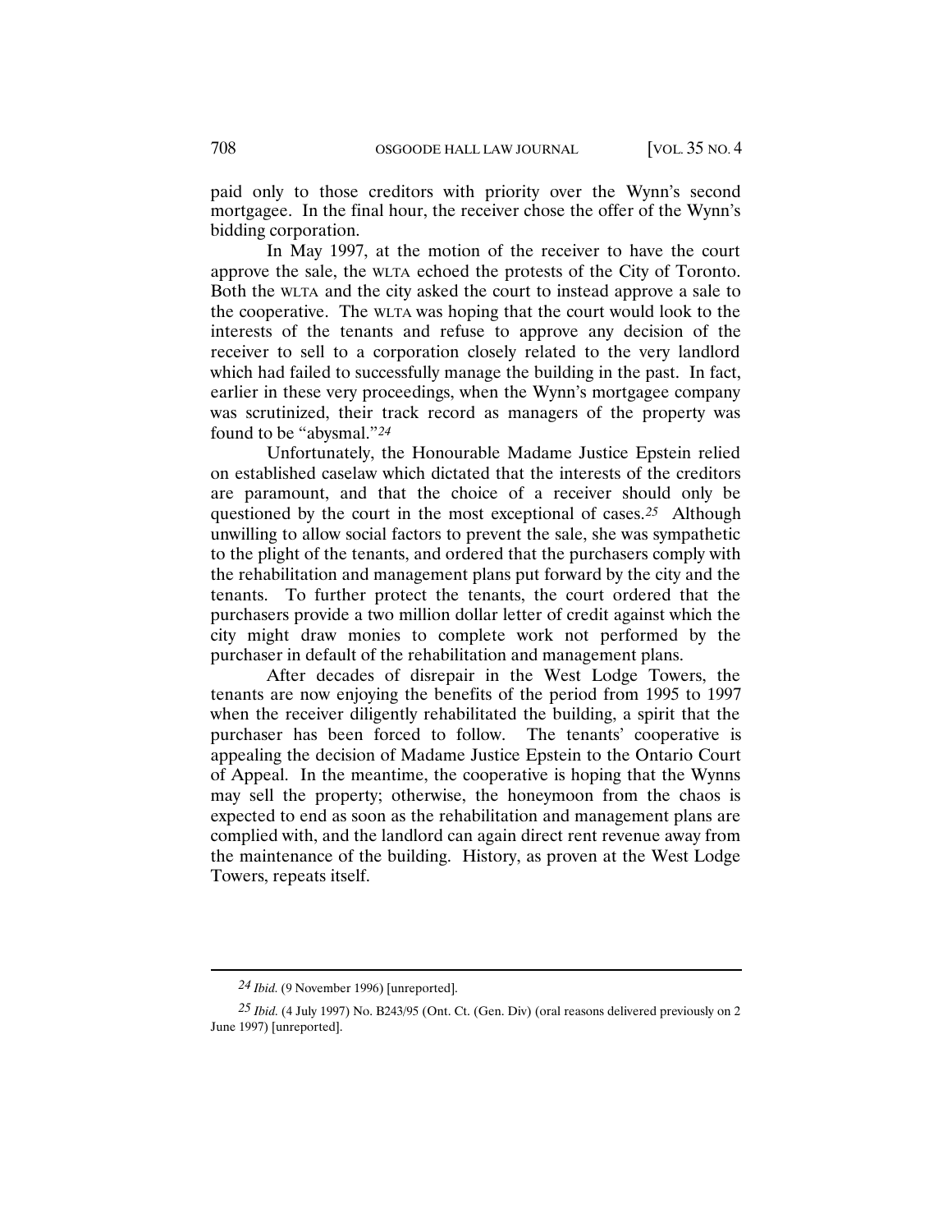paid only to those creditors with priority over the Wynn's second mortgagee. In the final hour, the receiver chose the offer of the Wynn's bidding corporation.

In May 1997, at the motion of the receiver to have the court approve the sale, the WLTA echoed the protests of the City of Toronto. Both the WLTA and the city asked the court to instead approve a sale to the cooperative. The WLTA was hoping that the court would look to the interests of the tenants and refuse to approve any decision of the receiver to sell to a corporation closely related to the very landlord which had failed to successfully manage the building in the past. In fact, earlier in these very proceedings, when the Wynn's mortgagee company was scrutinized, their track record as managers of the property was found to be "abysmal."*24*

Unfortunately, the Honourable Madame Justice Epstein relied on established caselaw which dictated that the interests of the creditors are paramount, and that the choice of a receiver should only be questioned by the court in the most exceptional of cases.*25* Although unwilling to allow social factors to prevent the sale, she was sympathetic to the plight of the tenants, and ordered that the purchasers comply with the rehabilitation and management plans put forward by the city and the tenants. To further protect the tenants, the court ordered that the purchasers provide a two million dollar letter of credit against which the city might draw monies to complete work not performed by the purchaser in default of the rehabilitation and management plans.

After decades of disrepair in the West Lodge Towers, the tenants are now enjoying the benefits of the period from 1995 to 1997 when the receiver diligently rehabilitated the building, a spirit that the purchaser has been forced to follow. The tenants' cooperative is appealing the decision of Madame Justice Epstein to the Ontario Court of Appeal. In the meantime, the cooperative is hoping that the Wynns may sell the property; otherwise, the honeymoon from the chaos is expected to end as soon as the rehabilitation and management plans are complied with, and the landlord can again direct rent revenue away from the maintenance of the building. History, as proven at the West Lodge Towers, repeats itself.

*<sup>24</sup> Ibid.* (9 November 1996) [unreported].

*<sup>25</sup> Ibid.* (4 July 1997) No. B243/95 (Ont. Ct. (Gen. Div) (oral reasons delivered previously on 2 June 1997) [unreported].